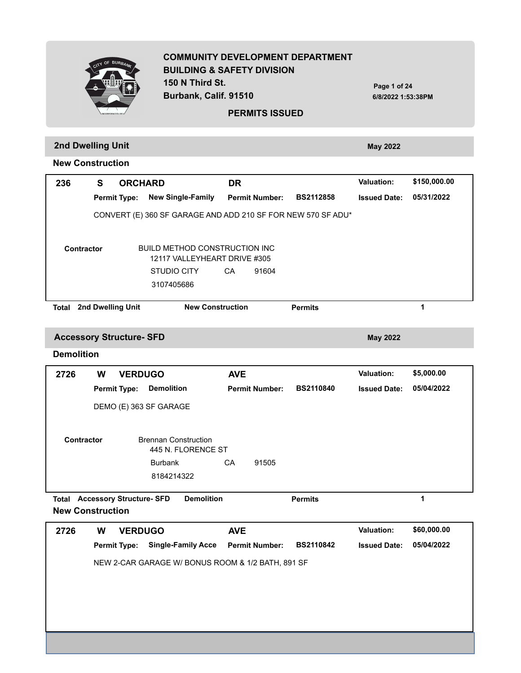**COMMUNITY DEVELOPMENT DEPARTMENT BUILDING & SAFETY DIVISION 150 N Third St. Burbank, Calif. 91510 PERMITS ISSUED 6/8/2022 1:53:38PM Page 1 of 24 2nd Dwelling Unit May 2022 New Construction** Permit Type: New Single-Family Permit Number: BS2112858 Issued Date:  **236 S 05/31/2022 ORCHARD DR Valuation: \$150,000.00** CONVERT (E) 360 SF GARAGE AND ADD 210 SF FOR NEW 570 SF ADU\* BUILD METHOD CONSTRUCTION INC **Contractor**

3107405686 STUDIO CITY CA 91604 12117 VALLEYHEART DRIVE #305

**Total 2nd Dwelling Unit New Construction Permits 1**

**Accessory Structure- SFD May 2022** 

#### **Demolition**

| 2726       | W | <b>VERDUGO</b>      |                                                   | <b>AVE</b> |                       |                  | <b>Valuation:</b>   | \$5,000.00 |
|------------|---|---------------------|---------------------------------------------------|------------|-----------------------|------------------|---------------------|------------|
|            |   | <b>Permit Type:</b> | <b>Demolition</b>                                 |            | <b>Permit Number:</b> | <b>BS2110840</b> | <b>Issued Date:</b> | 05/04/2022 |
|            |   |                     | DEMO (E) 363 SF GARAGE                            |            |                       |                  |                     |            |
| Contractor |   |                     | <b>Brennan Construction</b><br>445 N. FLORENCE ST |            |                       |                  |                     |            |
|            |   |                     | <b>Burbank</b>                                    | CA         | 91505                 |                  |                     |            |
|            |   |                     | 8184214322                                        |            |                       |                  |                     |            |
|            |   |                     |                                                   |            |                       |                  |                     |            |

**Total Accessory Structure- SFD Demolition <b>Permits Permits 1 New Construction**

**Permit Type: Single-Family Acce Permit Number: BS2110842 Issued Date: 2726 W 05/04/2022 VERDUGO AVE Valuation: \$60,000.00** NEW 2-CAR GARAGE W/ BONUS ROOM & 1/2 BATH, 891 SF

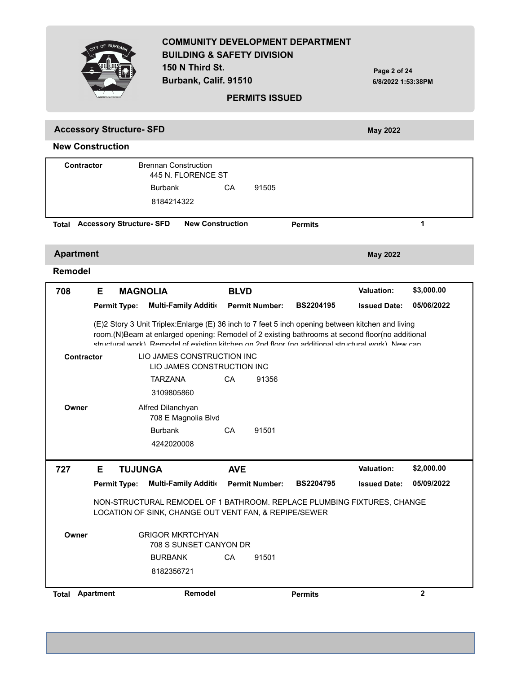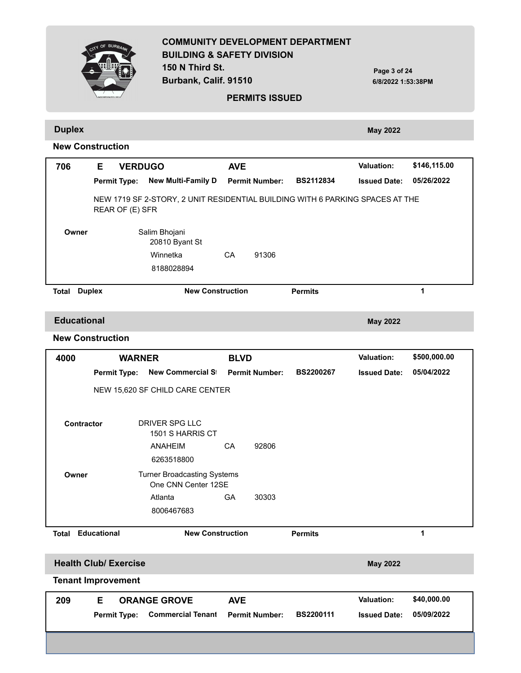|                         | CITY OF BURBAN |                     | <b>BUILDING &amp; SAFETY DIVISION</b><br>150 N Third St.<br>Burbank, Calif. 91510 |                         | <b>PERMITS ISSUED</b> | <b>COMMUNITY DEVELOPMENT DEPARTMENT</b> | Page 3 of 24<br>6/8/2022 1:53:38PM |              |
|-------------------------|----------------|---------------------|-----------------------------------------------------------------------------------|-------------------------|-----------------------|-----------------------------------------|------------------------------------|--------------|
| <b>Duplex</b>           |                |                     |                                                                                   |                         |                       |                                         | <b>May 2022</b>                    |              |
| <b>New Construction</b> |                |                     |                                                                                   |                         |                       |                                         |                                    |              |
| 706                     | Е              | <b>VERDUGO</b>      |                                                                                   | <b>AVE</b>              |                       |                                         | <b>Valuation:</b>                  | \$146,115.00 |
|                         |                | <b>Permit Type:</b> | <b>New Multi-Family D</b>                                                         |                         | <b>Permit Number:</b> | <b>BS2112834</b>                        | <b>Issued Date:</b>                | 05/26/2022   |
|                         |                | REAR OF (E) SFR     | NEW 1719 SF 2-STORY, 2 UNIT RESIDENTIAL BUILDING WITH 6 PARKING SPACES AT THE     |                         |                       |                                         |                                    |              |
| Owner                   |                |                     | Salim Bhojani<br>20810 Byant St                                                   |                         |                       |                                         |                                    |              |
|                         |                |                     | Winnetka                                                                          | CA                      | 91306                 |                                         |                                    |              |
|                         |                |                     | 8188028894                                                                        |                         |                       |                                         |                                    |              |
| Total                   | <b>Duplex</b>  |                     |                                                                                   | <b>New Construction</b> |                       | <b>Permits</b>                          |                                    | 1            |
| <b>Educational</b>      |                |                     |                                                                                   |                         |                       |                                         | <b>May 2022</b>                    |              |

| 4000       | <b>WARNER</b>                |                                                           | <b>BLVD</b> |                       |                  | <b>Valuation:</b>   | \$500,000.00 |
|------------|------------------------------|-----------------------------------------------------------|-------------|-----------------------|------------------|---------------------|--------------|
|            | <b>Permit Type:</b>          | <b>New Commercial St</b>                                  |             | <b>Permit Number:</b> | <b>BS2200267</b> | <b>Issued Date:</b> | 05/04/2022   |
|            |                              | NEW 15,620 SF CHILD CARE CENTER                           |             |                       |                  |                     |              |
| Contractor |                              | DRIVER SPG LLC<br>1501 S HARRIS CT                        |             |                       |                  |                     |              |
|            |                              | <b>ANAHEIM</b>                                            | CA          | 92806                 |                  |                     |              |
|            |                              | 6263518800                                                |             |                       |                  |                     |              |
| Owner      |                              | <b>Turner Broadcasting Systems</b><br>One CNN Center 12SE |             |                       |                  |                     |              |
|            |                              | Atlanta                                                   | <b>GA</b>   | 30303                 |                  |                     |              |
|            |                              | 8006467683                                                |             |                       |                  |                     |              |
| Total      | <b>Educational</b>           | <b>New Construction</b>                                   |             |                       | <b>Permits</b>   |                     | 1            |
|            | <b>Health Club/ Exercise</b> |                                                           |             |                       |                  | <b>May 2022</b>     |              |
|            | <b>Tenant Improvement</b>    |                                                           |             |                       |                  |                     |              |
| 209        | Е                            | <b>ORANGE GROVE</b>                                       | <b>AVE</b>  |                       |                  | <b>Valuation:</b>   | \$40,000.00  |
|            | <b>Permit Type:</b>          | <b>Commercial Tenant</b>                                  |             | <b>Permit Number:</b> | BS2200111        | <b>Issued Date:</b> | 05/09/2022   |
|            |                              |                                                           |             |                       |                  |                     |              |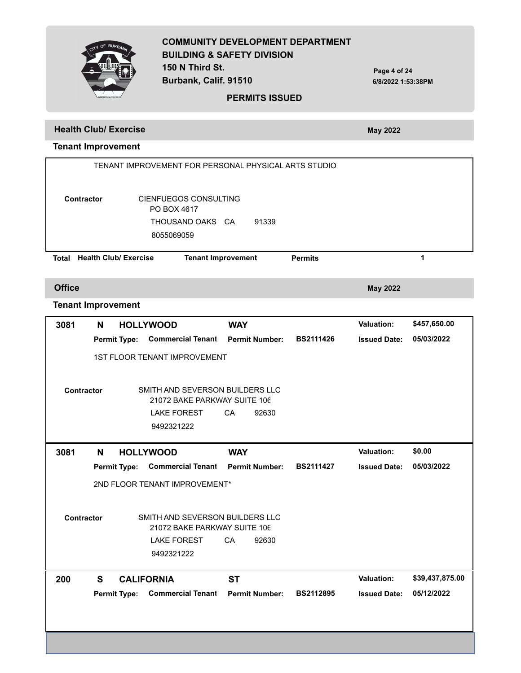

**PERMITS ISSUED**

**Burbank, Calif. 91510**

**Page 4 of 24 6/8/2022 1:53:38PM**

### **Health Club/ Exercise May 2022**

## **Tenant Improvement**

|                           | TENANT IMPROVEMENT FOR PERSONAL PHYSICAL ARTS STUDIO |                              |                                     |            |                       |                  |                     |              |  |  |  |
|---------------------------|------------------------------------------------------|------------------------------|-------------------------------------|------------|-----------------------|------------------|---------------------|--------------|--|--|--|
|                           |                                                      |                              |                                     |            |                       |                  |                     |              |  |  |  |
|                           |                                                      |                              |                                     |            |                       |                  |                     |              |  |  |  |
| <b>Contractor</b>         |                                                      |                              | CIENFUEGOS CONSULTING               |            |                       |                  |                     |              |  |  |  |
|                           |                                                      |                              | PO BOX 4617                         |            |                       |                  |                     |              |  |  |  |
|                           |                                                      |                              | THOUSAND OAKS CA                    |            | 91339                 |                  |                     |              |  |  |  |
|                           |                                                      |                              | 8055069059                          |            |                       |                  |                     |              |  |  |  |
|                           |                                                      | <b>Health Club/ Exercise</b> |                                     |            |                       |                  |                     | 1            |  |  |  |
| <b>Total</b>              |                                                      |                              | <b>Tenant Improvement</b>           |            |                       | <b>Permits</b>   |                     |              |  |  |  |
|                           |                                                      |                              |                                     |            |                       |                  |                     |              |  |  |  |
| <b>Office</b>             |                                                      |                              |                                     |            |                       |                  | <b>May 2022</b>     |              |  |  |  |
| <b>Tenant Improvement</b> |                                                      |                              |                                     |            |                       |                  |                     |              |  |  |  |
| 3081                      | N                                                    | <b>HOLLYWOOD</b>             |                                     | <b>WAY</b> |                       |                  | <b>Valuation:</b>   | \$457,650.00 |  |  |  |
|                           |                                                      | <b>Permit Type:</b>          | <b>Commercial Tenant</b>            |            | <b>Permit Number:</b> | <b>BS2111426</b> | <b>Issued Date:</b> | 05/03/2022   |  |  |  |
|                           |                                                      |                              | <b>1ST FLOOR TENANT IMPROVEMENT</b> |            |                       |                  |                     |              |  |  |  |
|                           |                                                      |                              |                                     |            |                       |                  |                     |              |  |  |  |
|                           |                                                      |                              | SMITH AND SEVERSON BUILDERS LLC     |            |                       |                  |                     |              |  |  |  |
| <b>Contractor</b>         |                                                      |                              | 21072 BAKE PARKWAY SUITE 106        |            |                       |                  |                     |              |  |  |  |
|                           |                                                      |                              | <b>LAKE FOREST</b>                  | CA         | 92630                 |                  |                     |              |  |  |  |
|                           |                                                      |                              | 9492321222                          |            |                       |                  |                     |              |  |  |  |

Permit Type: Commercial Tenant Permit Number: BS2111427 Issued Date:  **3081 N 05/03/2022 HOLLYWOOD WAY Valuation: \$0.00** 2ND FLOOR TENANT IMPROVEMENT\* SMITH AND SEVERSON BUILDERS LLC 9492321222 LAKE FOREST CA 92630 **Contractor** 21072 BAKE PARKWAY SUITE 106 Permit Type: Commercial Tenant Permit Number: BS2112895 Issued Date:  **200 S 05/12/2022 CALIFORNIA ST Valuation: \$39,437,875.00**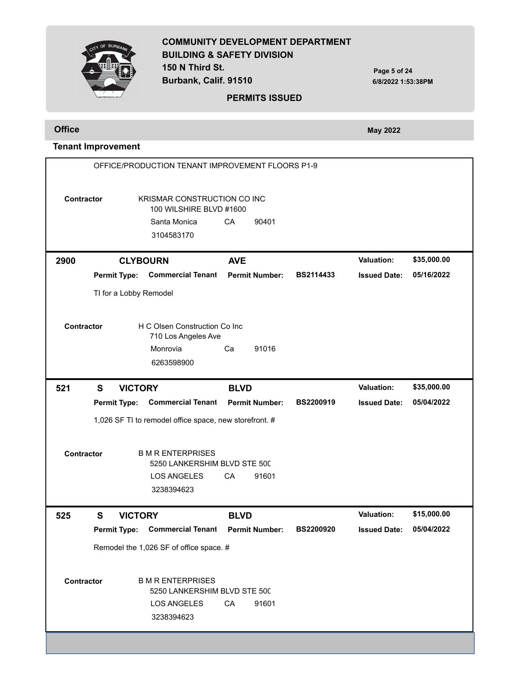OF BUR

**COMMUNITY DEVELOPMENT DEPARTMENT BUILDING & SAFETY DIVISION 150 N Third St. Burbank, Calif. 91510**

**Page 5 of 24 6/8/2022 1:53:38PM**

#### **PERMITS ISSUED**

**Office May 2022** 

# **Tenant Improvement**

|                   |   |                     | OFFICE/PRODUCTION TENANT IMPROVEMENT FLOORS P1-9         |             |                       |                  |                     |             |
|-------------------|---|---------------------|----------------------------------------------------------|-------------|-----------------------|------------------|---------------------|-------------|
| <b>Contractor</b> |   |                     | KRISMAR CONSTRUCTION CO INC<br>100 WILSHIRE BLVD #1600   |             |                       |                  |                     |             |
|                   |   |                     | Santa Monica                                             | CA          | 90401                 |                  |                     |             |
|                   |   |                     | 3104583170                                               |             |                       |                  |                     |             |
| 2900              |   | <b>CLYBOURN</b>     |                                                          | <b>AVE</b>  |                       |                  | <b>Valuation:</b>   | \$35,000.00 |
|                   |   | <b>Permit Type:</b> | <b>Commercial Tenant</b>                                 |             | <b>Permit Number:</b> | <b>BS2114433</b> | <b>Issued Date:</b> | 05/16/2022  |
|                   |   |                     | TI for a Lobby Remodel                                   |             |                       |                  |                     |             |
|                   |   |                     |                                                          |             |                       |                  |                     |             |
| <b>Contractor</b> |   |                     | H C Olsen Construction Co Inc<br>710 Los Angeles Ave     |             |                       |                  |                     |             |
|                   |   |                     | Monrovia                                                 | Ca          | 91016                 |                  |                     |             |
|                   |   |                     | 6263598900                                               |             |                       |                  |                     |             |
| 521               | S | <b>VICTORY</b>      |                                                          | <b>BLVD</b> |                       |                  | <b>Valuation:</b>   | \$35,000.00 |
|                   |   | <b>Permit Type:</b> | <b>Commercial Tenant</b>                                 |             | <b>Permit Number:</b> | BS2200919        | <b>Issued Date:</b> | 05/04/2022  |
|                   |   |                     | 1,026 SF TI to remodel office space, new storefront. #   |             |                       |                  |                     |             |
|                   |   |                     |                                                          |             |                       |                  |                     |             |
| Contractor        |   |                     | <b>B M R ENTERPRISES</b><br>5250 LANKERSHIM BLVD STE 500 |             |                       |                  |                     |             |
|                   |   |                     | <b>LOS ANGELES</b>                                       | CA          | 91601                 |                  |                     |             |
|                   |   |                     | 3238394623                                               |             |                       |                  |                     |             |
| 525               | S | <b>VICTORY</b>      |                                                          | <b>BLVD</b> |                       |                  | <b>Valuation:</b>   | \$15,000.00 |
|                   |   | <b>Permit Type:</b> | <b>Commercial Tenant</b>                                 |             | <b>Permit Number:</b> | <b>BS2200920</b> | <b>Issued Date:</b> | 05/04/2022  |
|                   |   |                     | Remodel the 1,026 SF of office space. #                  |             |                       |                  |                     |             |
|                   |   |                     |                                                          |             |                       |                  |                     |             |
| Contractor        |   |                     | <b>B M R ENTERPRISES</b><br>5250 LANKERSHIM BLVD STE 500 |             |                       |                  |                     |             |
|                   |   |                     | <b>LOS ANGELES</b>                                       | CA          | 91601                 |                  |                     |             |
|                   |   |                     | 3238394623                                               |             |                       |                  |                     |             |
|                   |   |                     |                                                          |             |                       |                  |                     |             |
|                   |   |                     |                                                          |             |                       |                  |                     |             |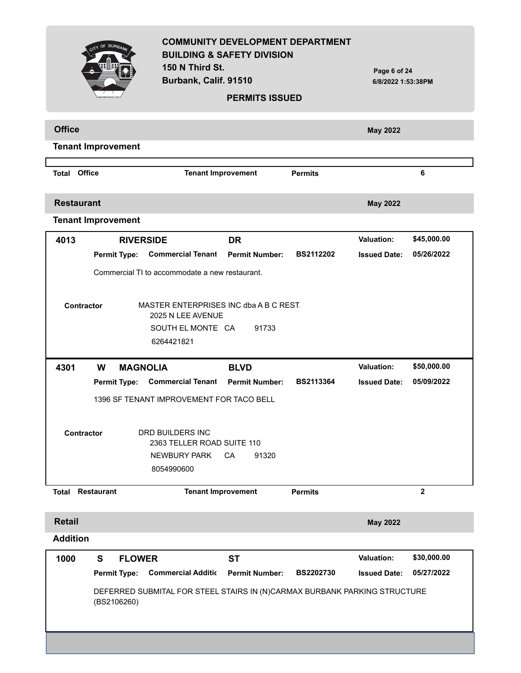|                           |                           | 150 N Third St.<br>Burbank, Calif. 91510                                                       | <b>COMMUNITY DEVELOPMENT DEPARTMENT</b><br><b>BUILDING &amp; SAFETY DIVISION</b><br><b>PERMITS ISSUED</b> |                  | Page 6 of 24<br>6/8/2022 1:53:38PM |                |  |
|---------------------------|---------------------------|------------------------------------------------------------------------------------------------|-----------------------------------------------------------------------------------------------------------|------------------|------------------------------------|----------------|--|
| <b>Office</b>             |                           |                                                                                                |                                                                                                           |                  | <b>May 2022</b>                    |                |  |
|                           | <b>Tenant Improvement</b> |                                                                                                |                                                                                                           |                  |                                    |                |  |
| <b>Total Office</b>       |                           | <b>Tenant Improvement</b>                                                                      |                                                                                                           | <b>Permits</b>   | 6                                  |                |  |
| <b>Restaurant</b>         |                           |                                                                                                |                                                                                                           |                  | <b>May 2022</b>                    |                |  |
| <b>Tenant Improvement</b> |                           |                                                                                                |                                                                                                           |                  |                                    |                |  |
| 4013                      | <b>RIVERSIDE</b>          |                                                                                                | <b>DR</b>                                                                                                 |                  | <b>Valuation:</b>                  | \$45,000.00    |  |
|                           | <b>Permit Type:</b>       | <b>Commercial Tenant</b>                                                                       | <b>Permit Number:</b>                                                                                     | <b>BS2112202</b> | <b>Issued Date:</b>                | 05/26/2022     |  |
|                           |                           | Commercial TI to accommodate a new restaurant.                                                 |                                                                                                           |                  |                                    |                |  |
| Contractor                |                           | MASTER ENTERPRISES INC dba A B C REST.<br>2025 N LEE AVENUE<br>SOUTH EL MONTE CA<br>6264421821 | 91733                                                                                                     |                  |                                    |                |  |
| 4301                      | W<br><b>MAGNOLIA</b>      |                                                                                                | <b>BLVD</b>                                                                                               |                  | <b>Valuation:</b>                  | \$50,000.00    |  |
|                           | <b>Permit Type:</b>       | <b>Commercial Tenant</b>                                                                       | <b>Permit Number:</b>                                                                                     | <b>BS2113364</b> | <b>Issued Date:</b>                | 05/09/2022     |  |
|                           |                           | 1396 SF TENANT IMPROVEMENT FOR TACO BELL                                                       |                                                                                                           |                  |                                    |                |  |
| Contractor                |                           | <b>DRD BUILDERS INC</b><br>2363 TELLER ROAD SUITE 110<br><b>NEWBURY PARK</b><br>8054990600     | CA<br>91320                                                                                               |                  |                                    |                |  |
| <b>Total</b>              | <b>Restaurant</b>         | <b>Tenant Improvement</b>                                                                      |                                                                                                           | <b>Permits</b>   |                                    | $\overline{2}$ |  |
| <b>Retail</b>             |                           |                                                                                                |                                                                                                           |                  | <b>May 2022</b>                    |                |  |
| <b>Addition</b>           |                           |                                                                                                |                                                                                                           |                  |                                    |                |  |
| 1000                      | S<br><b>FLOWER</b>        |                                                                                                | <b>ST</b>                                                                                                 |                  | Valuation:                         | \$30,000.00    |  |
|                           | <b>Permit Type:</b>       | <b>Commercial Additic</b>                                                                      | <b>Permit Number:</b>                                                                                     | <b>BS2202730</b> | <b>Issued Date:</b>                | 05/27/2022     |  |
|                           | (BS2106260)               | DEFERRED SUBMITAL FOR STEEL STAIRS IN (N)CARMAX BURBANK PARKING STRUCTURE                      |                                                                                                           |                  |                                    |                |  |
|                           |                           |                                                                                                |                                                                                                           |                  |                                    |                |  |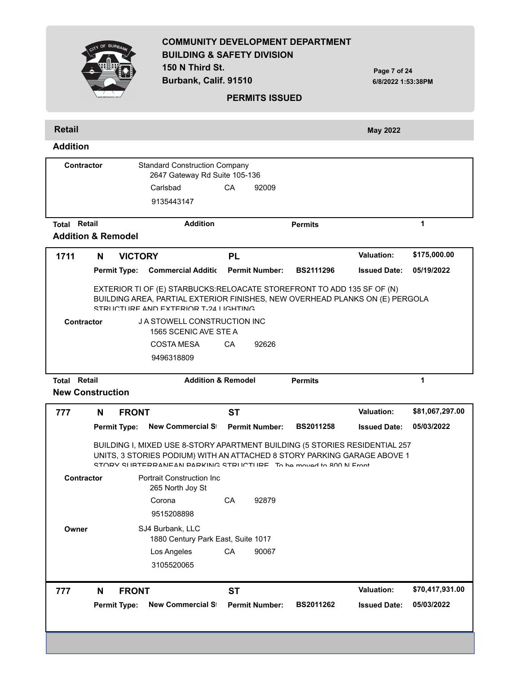|                                                      |                                                                        |                                     | 150 N Third St.<br>Burbank, Calif. 91510                                                                                                                                                                                   |                               | <b>PERMITS ISSUED</b> |                  | Page 7 of 24<br>6/8/2022 1:53:38PM |                 |
|------------------------------------------------------|------------------------------------------------------------------------|-------------------------------------|----------------------------------------------------------------------------------------------------------------------------------------------------------------------------------------------------------------------------|-------------------------------|-----------------------|------------------|------------------------------------|-----------------|
|                                                      |                                                                        |                                     |                                                                                                                                                                                                                            |                               |                       |                  |                                    |                 |
| <b>Retail</b><br><b>Addition</b>                     |                                                                        |                                     |                                                                                                                                                                                                                            |                               |                       |                  | <b>May 2022</b>                    |                 |
| <b>Contractor</b>                                    |                                                                        |                                     | <b>Standard Construction Company</b><br>2647 Gateway Rd Suite 105-136<br>Carlsbad<br>9135443147                                                                                                                            | CA                            | 92009                 |                  |                                    |                 |
| <b>Total Retail</b><br><b>Addition &amp; Remodel</b> |                                                                        |                                     | <b>Addition</b>                                                                                                                                                                                                            |                               |                       | <b>Permits</b>   |                                    | 1               |
| 1711                                                 | N                                                                      | <b>VICTORY</b>                      |                                                                                                                                                                                                                            | <b>PL</b>                     |                       |                  | <b>Valuation:</b>                  | \$175,000.00    |
|                                                      |                                                                        | <b>Permit Type:</b>                 | <b>Commercial Additic Permit Number:</b>                                                                                                                                                                                   |                               |                       | <b>BS2111296</b> | <b>Issued Date:</b>                | 05/19/2022      |
| <b>Contractor</b>                                    | EXTERIOR TI OF (E) STARBUCKS:RELOACATE STOREFRONT TO ADD 135 SF OF (N) |                                     | BUILDING AREA, PARTIAL EXTERIOR FINISHES, NEW OVERHEAD PLANKS ON (E) PERGOLA<br>STRUCTURE AND EXTERIOR T-24 LIGHTING<br>J A STOWELL CONSTRUCTION INC<br>1565 SCENIC AVE STE A<br><b>COSTA MESA</b>                         | CA                            | 92626                 |                  |                                    |                 |
| <b>Total Retail</b><br><b>New Construction</b>       |                                                                        |                                     | 9496318809                                                                                                                                                                                                                 | <b>Addition &amp; Remodel</b> |                       | <b>Permits</b>   |                                    | 1               |
|                                                      |                                                                        |                                     |                                                                                                                                                                                                                            |                               |                       |                  | <b>Valuation:</b>                  | \$81,067,297.00 |
|                                                      | N                                                                      | <b>FRONT</b><br><b>Permit Type:</b> | <b>New Commercial St</b>                                                                                                                                                                                                   | <b>ST</b>                     | <b>Permit Number:</b> | <b>BS2011258</b> | <b>Issued Date:</b>                | 05/03/2022      |
| 777                                                  |                                                                        |                                     | BUILDING I, MIXED USE 8-STORY APARTMENT BUILDING (5 STORIES RESIDENTIAL 257<br>UNITS, 3 STORIES PODIUM) WITH AN ATTACHED 8 STORY PARKING GARAGE ABOVE 1<br>STORY SURTERRANEAN PARKING STRUCTURE To be moved to 800 N Front |                               |                       |                  |                                    |                 |
| <b>Contractor</b>                                    |                                                                        |                                     | <b>Portrait Construction Inc.</b><br>265 North Joy St                                                                                                                                                                      |                               |                       |                  |                                    |                 |
|                                                      |                                                                        |                                     | Corona<br>9515208898                                                                                                                                                                                                       | CA                            | 92879                 |                  |                                    |                 |
| Owner                                                |                                                                        |                                     | SJ4 Burbank, LLC<br>1880 Century Park East, Suite 1017                                                                                                                                                                     |                               |                       |                  |                                    |                 |
|                                                      |                                                                        |                                     | Los Angeles<br>3105520065                                                                                                                                                                                                  | CА                            | 90067                 |                  |                                    |                 |
| 777                                                  | N                                                                      | <b>FRONT</b>                        |                                                                                                                                                                                                                            | <b>ST</b>                     |                       |                  | Valuation:                         | \$70,417,931.00 |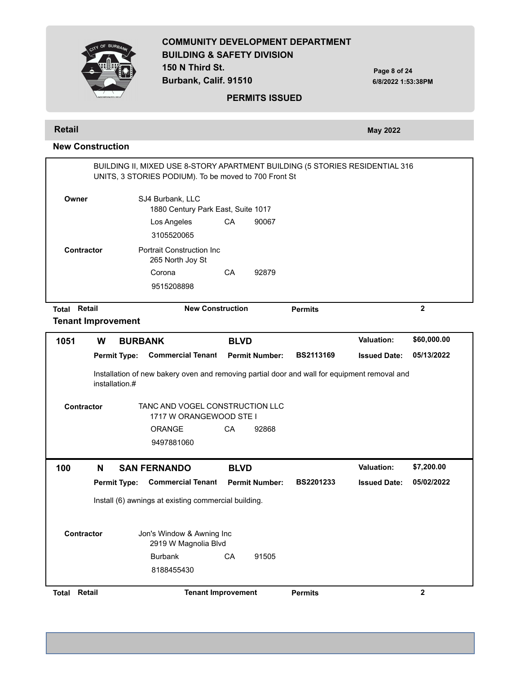**COMMUNITY DEVELOPMENT DEPARTMENT BUILDING & SAFETY DIVISION 150 N Third St. Burbank, Calif. 91510 Page 8 of 24 6/8/2022 1:53:38PM PERMITS ISSUED Retail May 2022 New Construction** BUILDING II, MIXED USE 8-STORY APARTMENT BUILDING (5 STORIES RESIDENTIAL 316 UNITS, 3 STORIES PODIUM). To be moved to 700 Front St SJ4 Burbank, LLC 3105520065 Los Angeles CA 90067 **Owner** 1880 Century Park East, Suite 1017 Portrait Construction Inc 9515208898 Corona CA 92879 **Contractor** 265 North Joy St **Total Retail New Construction Permits 2 Tenant Improvement Permit Type: Permit Number: BS2113169 Issued Date: Commercial Tenant Improvement 1051 W 05/13/2022 BURBANK BLVD Valuation: \$60,000.00** Installation of new bakery oven and removing partial door and wall for equipment removal and installation.# TANC AND VOGEL CONSTRUCTION LLC 9497881060 ORANGE CA 92868 **Contractor** 1717 W ORANGEWOOD STE I Permit Type: Commercial Tenant Permit Number: BS2201233 Issued Date:  **100 N 05/02/2022 SAN FERNANDO BLVD Valuation: \$7,200.00** Install (6) awnings at existing commercial building. Jon's Window & Awning Inc 8188455430 Burbank CA 91505 **Contractor** 2919 W Magnolia Blvd **Total Retail Tenant Improvement Permits 2**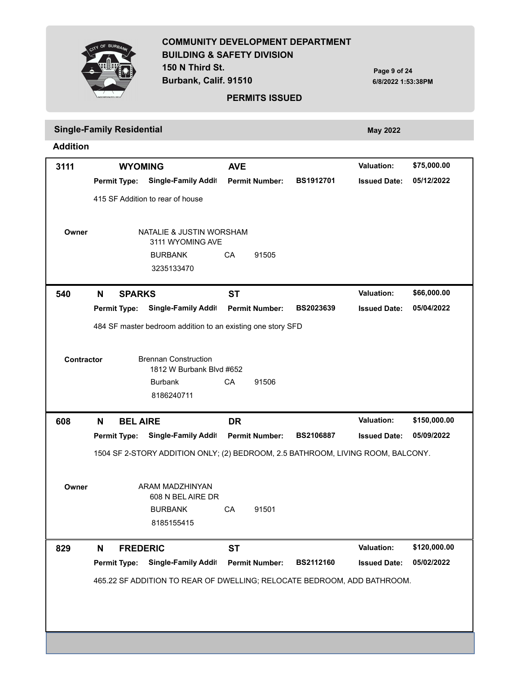

**150 N Third St. Burbank, Calif. 91510**

**Page 9 of 24 6/8/2022 1:53:38PM**

#### **PERMITS ISSUED**

# **Single-Family Residential** *May 2022* **May 2022**

**Addition**

| 3111       |   | <b>WYOMING</b>      |                                                                                 | <b>AVE</b> |                       |                  | <b>Valuation:</b>   | \$75,000.00                |
|------------|---|---------------------|---------------------------------------------------------------------------------|------------|-----------------------|------------------|---------------------|----------------------------|
|            |   | <b>Permit Type:</b> | Single-Family Addit                                                             |            | <b>Permit Number:</b> | BS1912701        | <b>Issued Date:</b> | 05/12/2022                 |
|            |   |                     | 415 SF Addition to rear of house                                                |            |                       |                  |                     |                            |
| Owner      |   |                     | NATALIE & JUSTIN WORSHAM<br>3111 WYOMING AVE                                    |            |                       |                  |                     |                            |
|            |   |                     | <b>BURBANK</b>                                                                  | CA         | 91505                 |                  |                     |                            |
|            |   |                     | 3235133470                                                                      |            |                       |                  |                     |                            |
| 540        | N | <b>SPARKS</b>       |                                                                                 | <b>ST</b>  |                       |                  | <b>Valuation:</b>   | \$66,000.00                |
|            |   | <b>Permit Type:</b> | Single-Family Addit                                                             |            | <b>Permit Number:</b> | BS2023639        | <b>Issued Date:</b> | 05/04/2022                 |
|            |   |                     | 484 SF master bedroom addition to an existing one story SFD                     |            |                       |                  |                     |                            |
|            |   |                     |                                                                                 |            |                       |                  |                     |                            |
| Contractor |   |                     | <b>Brennan Construction</b><br>1812 W Burbank Blvd #652                         |            |                       |                  |                     |                            |
|            |   |                     | <b>Burbank</b>                                                                  | CA         | 91506                 |                  |                     |                            |
|            |   |                     | 8186240711                                                                      |            |                       |                  |                     |                            |
|            |   |                     |                                                                                 |            |                       |                  |                     |                            |
|            |   |                     |                                                                                 |            |                       |                  | <b>Valuation:</b>   |                            |
| 608        | N | <b>BEL AIRE</b>     |                                                                                 | <b>DR</b>  | <b>Permit Number:</b> | <b>BS2106887</b> | <b>Issued Date:</b> | \$150,000.00<br>05/09/2022 |
|            |   | <b>Permit Type:</b> | Single-Family Addit                                                             |            |                       |                  |                     |                            |
|            |   |                     | 1504 SF 2-STORY ADDITION ONLY; (2) BEDROOM, 2.5 BATHROOM, LIVING ROOM, BALCONY. |            |                       |                  |                     |                            |
| Owner      |   |                     | ARAM MADZHINYAN<br>608 N BEL AIRE DR                                            |            |                       |                  |                     |                            |
|            |   |                     | <b>BURBANK</b>                                                                  | CA         | 91501                 |                  |                     |                            |
|            |   |                     | 8185155415                                                                      |            |                       |                  |                     |                            |
|            |   |                     |                                                                                 |            |                       |                  |                     |                            |
| 829        | N | <b>FREDERIC</b>     |                                                                                 | <b>ST</b>  |                       |                  | <b>Valuation:</b>   | \$120,000.00               |
|            |   | <b>Permit Type:</b> | <b>Single-Family Addit</b>                                                      |            | <b>Permit Number:</b> | BS2112160        | <b>Issued Date:</b> | 05/02/2022                 |
|            |   |                     | 465.22 SF ADDITION TO REAR OF DWELLING; RELOCATE BEDROOM, ADD BATHROOM.         |            |                       |                  |                     |                            |
|            |   |                     |                                                                                 |            |                       |                  |                     |                            |
|            |   |                     |                                                                                 |            |                       |                  |                     |                            |
|            |   |                     |                                                                                 |            |                       |                  |                     |                            |

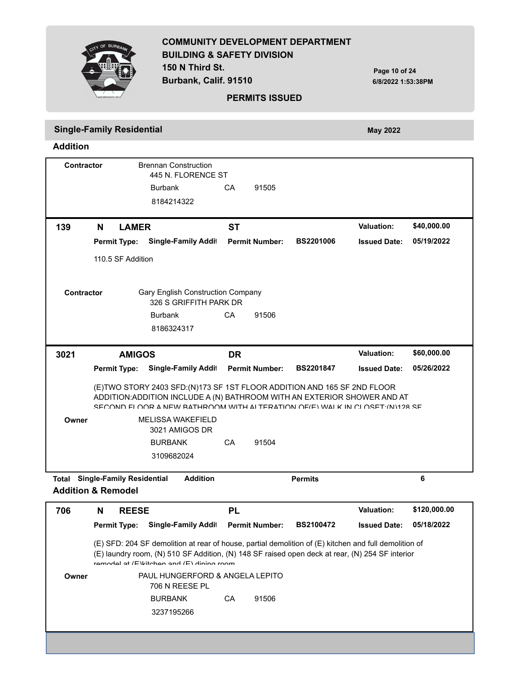

**150 N Third St. Burbank, Calif. 91510**

**Page 10 of 24 6/8/2022 1:53:38PM**

#### **PERMITS ISSUED**

**Single-Family Residential** *May 2022* **May 2022 Addition**

Brennan Construction 8184214322 Burbank CA 91505 **Contractor** 445 N. FLORENCE ST **Permit Type: Single-Family Addit Permit Number: BS2201006 Issued Date: 139 N 05/19/2022 LAMER ST Valuation: \$40,000.00** 110.5 SF Addition Gary English Construction Company 8186324317 Burbank CA 91506 **Contractor** 326 S GRIFFITH PARK DR Permit Type: Single-Family Addi<sup>։</sup> Permit Number: BS2201847 Issued Date:  **3021 05/26/2022 AMIGOS DR Valuation: \$60,000.00** (E)TWO STORY 2403 SFD:(N)173 SF 1ST FLOOR ADDITION AND 165 SF 2ND FLOOR ADDITION:ADDITION INCLUDE A (N) BATHROOM WITH AN EXTERIOR SHOWER AND AT SECOND FLOOR A NEW BATHROOM WITH ALTERATION OF(E) WALK IN CLOSET·(N)128 SF MELISSA WAKEFIELD 3109682024 BURBANK CA 91504 **Owner** 3021 AMIGOS DR **Total Single-Family Residential Addition Permits 6**

| 706   | <b>REESE</b><br>N   |                                                                                                                                                                                                                                                            | PL |                       |                  | <b>Valuation:</b>   | \$120,000.00 |
|-------|---------------------|------------------------------------------------------------------------------------------------------------------------------------------------------------------------------------------------------------------------------------------------------------|----|-----------------------|------------------|---------------------|--------------|
|       | <b>Permit Type:</b> | <b>Single-Family Addit</b>                                                                                                                                                                                                                                 |    | <b>Permit Number:</b> | <b>BS2100472</b> | <b>Issued Date:</b> | 05/18/2022   |
|       |                     | (E) SFD: 204 SF demolition at rear of house, partial demolition of (E) kitchen and full demolition of<br>(E) laundry room, (N) 510 SF Addition, (N) 148 SF raised open deck at rear, (N) 254 SF interior<br>remodel at $(F)$ kitchen and $(F)$ dining room |    |                       |                  |                     |              |
| Owner |                     | PAUL HUNGERFORD & ANGELA LEPITO<br>706 N REESE PL                                                                                                                                                                                                          |    |                       |                  |                     |              |
|       |                     | <b>BURBANK</b>                                                                                                                                                                                                                                             | CA | 91506                 |                  |                     |              |
|       |                     | 3237195266                                                                                                                                                                                                                                                 |    |                       |                  |                     |              |
|       |                     |                                                                                                                                                                                                                                                            |    |                       |                  |                     |              |
|       |                     |                                                                                                                                                                                                                                                            |    |                       |                  |                     |              |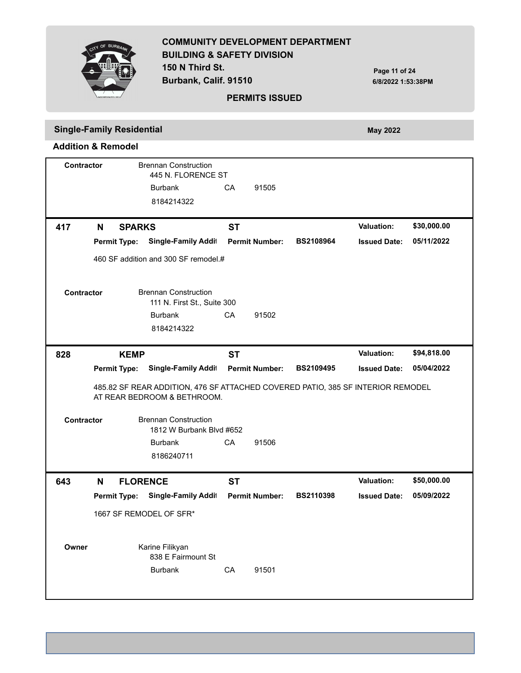

**150 N Third St. Burbank, Calif. 91510**

**Page 11 of 24 6/8/2022 1:53:38PM**

#### **PERMITS ISSUED**

# **Single-Family Residential** *May 2022* **May 2022**

|                   | Contractor |                     | <b>Brennan Construction</b><br>445 N. FLORENCE ST                                                              |           |                       |                  |                     |             |
|-------------------|------------|---------------------|----------------------------------------------------------------------------------------------------------------|-----------|-----------------------|------------------|---------------------|-------------|
|                   |            |                     | <b>Burbank</b>                                                                                                 | CA        | 91505                 |                  |                     |             |
|                   |            |                     | 8184214322                                                                                                     |           |                       |                  |                     |             |
| 417               | N          | <b>SPARKS</b>       |                                                                                                                | <b>ST</b> |                       |                  | <b>Valuation:</b>   | \$30,000.00 |
|                   |            | <b>Permit Type:</b> | <b>Single-Family Addit</b>                                                                                     |           | <b>Permit Number:</b> | <b>BS2108964</b> | <b>Issued Date:</b> | 05/11/2022  |
|                   |            |                     | 460 SF addition and 300 SF remodel.#                                                                           |           |                       |                  |                     |             |
| <b>Contractor</b> |            |                     | <b>Brennan Construction</b><br>111 N. First St., Suite 300                                                     |           |                       |                  |                     |             |
|                   |            |                     | <b>Burbank</b><br>8184214322                                                                                   | CA        | 91502                 |                  |                     |             |
| 828               |            | <b>KEMP</b>         |                                                                                                                | <b>ST</b> |                       |                  | <b>Valuation:</b>   | \$94,818.00 |
|                   |            | <b>Permit Type:</b> | <b>Single-Family Addit</b>                                                                                     |           | <b>Permit Number:</b> | <b>BS2109495</b> | <b>Issued Date:</b> | 05/04/2022  |
|                   |            |                     |                                                                                                                |           |                       |                  |                     |             |
|                   |            |                     | 485.82 SF REAR ADDITION, 476 SF ATTACHED COVERED PATIO, 385 SF INTERIOR REMODEL<br>AT REAR BEDROOM & BETHROOM. |           |                       |                  |                     |             |
| <b>Contractor</b> |            |                     | <b>Brennan Construction</b><br>1812 W Burbank Blvd #652                                                        |           |                       |                  |                     |             |
|                   |            |                     | <b>Burbank</b>                                                                                                 | CA        | 91506                 |                  |                     |             |
|                   |            |                     | 8186240711                                                                                                     |           |                       |                  |                     |             |
| 643               | N          | <b>FLORENCE</b>     |                                                                                                                | <b>ST</b> |                       |                  | <b>Valuation:</b>   | \$50,000.00 |
|                   |            | <b>Permit Type:</b> | <b>Single-Family Addit</b>                                                                                     |           | <b>Permit Number:</b> | <b>BS2110398</b> | <b>Issued Date:</b> | 05/09/2022  |
|                   |            |                     | 1667 SF REMODEL OF SFR*                                                                                        |           |                       |                  |                     |             |
| Owner             |            |                     | Karine Filikyan<br>838 E Fairmount St                                                                          |           |                       |                  |                     |             |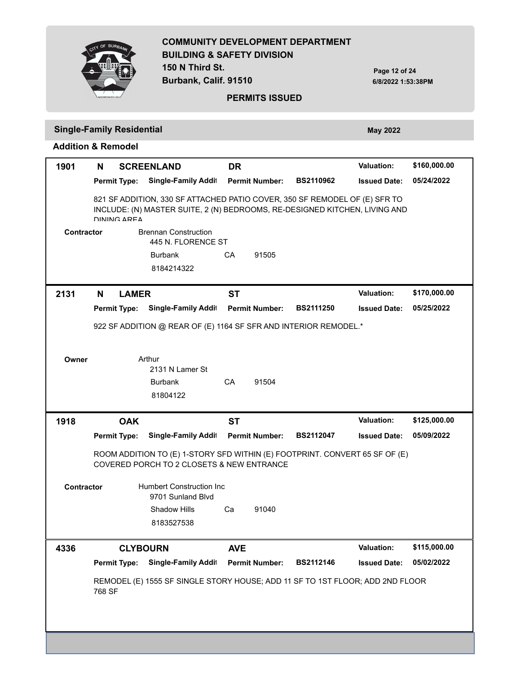

**150 N Third St. Burbank, Calif. 91510**

**Page 12 of 24 6/8/2022 1:53:38PM**

#### **PERMITS ISSUED**

#### **Single-Family Residential May 2022**

**Addition & Remodel**

### Permit Type: Single-Family Addi<sup>։</sup> Permit Number: BS2110962 Issued Date:  **1901 N 05/24/2022 SCREENLAND DR Valuation: \$160,000.00** 821 SF ADDITION, 330 SF ATTACHED PATIO COVER, 350 SF REMODEL OF (E) SFR TO INCLUDE: (N) MASTER SUITE, 2 (N) BEDROOMS, RE-DESIGNED KITCHEN, LIVING AND DINING AREA Brennan Construction 8184214322 Burbank CA 91505 **Contractor** 445 N. FLORENCE ST **Permit Type: Single-Family Addit Permit Number: BS2111250 Issued Date: 2131 N 05/25/2022 LAMER ST Valuation: \$170,000.00** 922 SF ADDITION @ REAR OF (E) 1164 SF SFR AND INTERIOR REMODEL.\* Arthur 81804122 Burbank CA 91504 **Owner** 2131 N Lamer St **Permit Type: Permit Number: BS2112047 Issued Date: Single-Family Addition / Alteration 1918 05/09/2022 OAK ST Valuation: \$125,000.00** ROOM ADDITION TO (E) 1-STORY SFD WITHIN (E) FOOTPRINT. CONVERT 65 SF OF (E) COVERED PORCH TO 2 CLOSETS & NEW ENTRANCE Humbert Construction Inc 8183527538 Shadow Hills Ca 91040 **Contractor** 9701 Sunland Blvd **Permit Type: Single-Family Addit Permit Number: BS2112146 Issued Date: 4336 05/02/2022 CLYBOURN AVE Valuation: \$115,000.00** REMODEL (E) 1555 SF SINGLE STORY HOUSE; ADD 11 SF TO 1ST FLOOR; ADD 2ND FLOOR 768 SF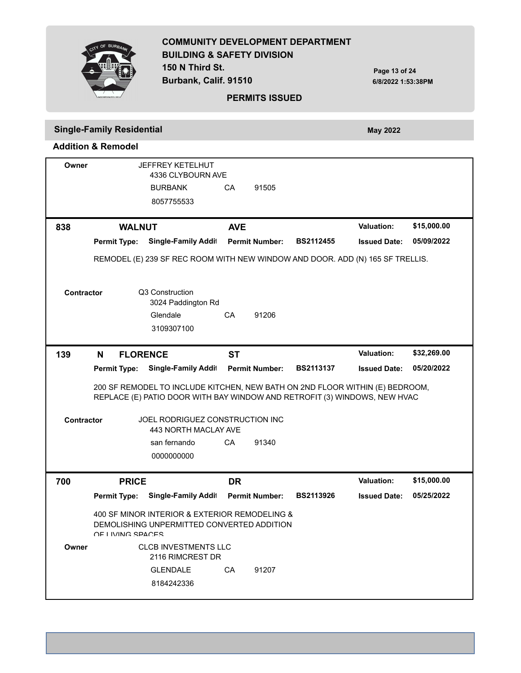

**150 N Third St. Burbank, Calif. 91510**

**Page 13 of 24 6/8/2022 1:53:38PM**

#### **PERMITS ISSUED**

# **Single-Family Residential** *May 2022* **May 2022**

| Owner      |                     | <b>JEFFREY KETELHUT</b><br>4336 CLYBOURN AVE                                                                                                              |            |                       |                  |                     |             |
|------------|---------------------|-----------------------------------------------------------------------------------------------------------------------------------------------------------|------------|-----------------------|------------------|---------------------|-------------|
|            |                     | <b>BURBANK</b>                                                                                                                                            | CA         | 91505                 |                  |                     |             |
|            |                     | 8057755533                                                                                                                                                |            |                       |                  |                     |             |
|            |                     |                                                                                                                                                           |            |                       |                  |                     |             |
| 838        | <b>WALNUT</b>       |                                                                                                                                                           | <b>AVE</b> |                       |                  | <b>Valuation:</b>   | \$15,000.00 |
|            | <b>Permit Type:</b> | Single-Family Addit                                                                                                                                       |            | <b>Permit Number:</b> | <b>BS2112455</b> | <b>Issued Date:</b> | 05/09/2022  |
|            |                     | REMODEL (E) 239 SF REC ROOM WITH NEW WINDOW AND DOOR. ADD (N) 165 SF TRELLIS.                                                                             |            |                       |                  |                     |             |
| Contractor |                     | Q3 Construction<br>3024 Paddington Rd                                                                                                                     |            |                       |                  |                     |             |
|            |                     | Glendale<br>3109307100                                                                                                                                    | СA         | 91206                 |                  |                     |             |
|            |                     |                                                                                                                                                           |            |                       |                  |                     |             |
| 139        | N                   | <b>FLORENCE</b>                                                                                                                                           | ST         |                       |                  | <b>Valuation:</b>   | \$32,269.00 |
|            | <b>Permit Type:</b> | Single-Family Addit                                                                                                                                       |            | <b>Permit Number:</b> | <b>BS2113137</b> | <b>Issued Date:</b> | 05/20/2022  |
|            |                     | 200 SF REMODEL TO INCLUDE KITCHEN, NEW BATH ON 2ND FLOOR WITHIN (E) BEDROOM,<br>REPLACE (E) PATIO DOOR WITH BAY WINDOW AND RETROFIT (3) WINDOWS, NEW HVAC |            |                       |                  |                     |             |
| Contractor |                     | JOEL RODRIGUEZ CONSTRUCTION INC<br>443 NORTH MACLAY AVE                                                                                                   |            |                       |                  |                     |             |
|            |                     | san fernando                                                                                                                                              | CA         | 91340                 |                  |                     |             |
|            |                     | 0000000000                                                                                                                                                |            |                       |                  |                     |             |
| 700        | <b>PRICE</b>        |                                                                                                                                                           | <b>DR</b>  |                       |                  | <b>Valuation:</b>   | \$15,000.00 |
|            | <b>Permit Type:</b> | <b>Single-Family Addit</b>                                                                                                                                |            | <b>Permit Number:</b> | <b>BS2113926</b> | <b>Issued Date:</b> | 05/25/2022  |
|            | OF LIVING SPACES    | 400 SF MINOR INTERIOR & EXTERIOR REMODELING &<br>DEMOLISHING UNPERMITTED CONVERTED ADDITION                                                               |            |                       |                  |                     |             |
| Owner      |                     | <b>CLCB INVESTMENTS LLC</b><br>2116 RIMCREST DR                                                                                                           |            |                       |                  |                     |             |
|            |                     | <b>GLENDALE</b><br>8184242336                                                                                                                             | CA         | 91207                 |                  |                     |             |
|            |                     |                                                                                                                                                           |            |                       |                  |                     |             |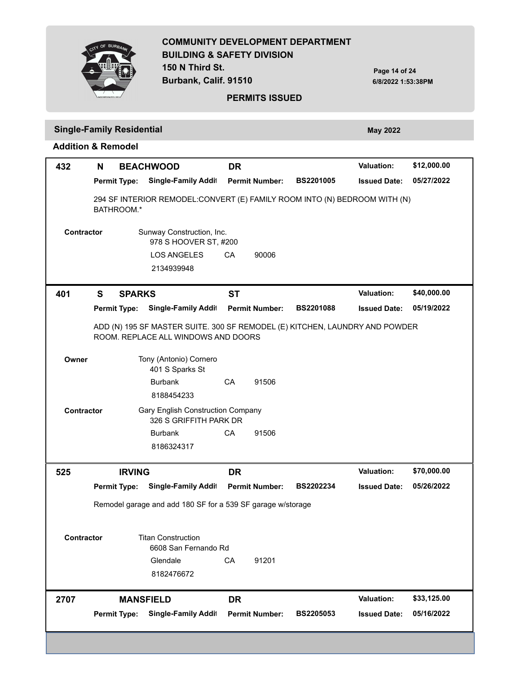

**150 N Third St. Burbank, Calif. 91510**

**Page 14 of 24 6/8/2022 1:53:38PM**

#### **PERMITS ISSUED**

# **Single-Family Residential** *May 2022* **May 2022**

| 432               | N                   |               | <b>BEACHWOOD</b>                                                                                                   | <b>DR</b> |                       |                  | <b>Valuation:</b>   | \$12,000.00 |
|-------------------|---------------------|---------------|--------------------------------------------------------------------------------------------------------------------|-----------|-----------------------|------------------|---------------------|-------------|
|                   | <b>Permit Type:</b> |               | Single-Family Addit                                                                                                |           | <b>Permit Number:</b> | <b>BS2201005</b> | <b>Issued Date:</b> | 05/27/2022  |
|                   | BATHROOM.*          |               | 294 SF INTERIOR REMODEL: CONVERT (E) FAMILY ROOM INTO (N) BEDROOM WITH (N)                                         |           |                       |                  |                     |             |
| <b>Contractor</b> |                     |               | Sunway Construction, Inc.<br>978 S HOOVER ST, #200<br><b>LOS ANGELES</b><br>2134939948                             | CA        | 90006                 |                  |                     |             |
| 401               | S                   | <b>SPARKS</b> |                                                                                                                    | <b>ST</b> |                       |                  | <b>Valuation:</b>   | \$40,000.00 |
|                   | <b>Permit Type:</b> |               | Single-Family Addit                                                                                                |           | <b>Permit Number:</b> | <b>BS2201088</b> | <b>Issued Date:</b> | 05/19/2022  |
|                   |                     |               | ADD (N) 195 SF MASTER SUITE. 300 SF REMODEL (E) KITCHEN, LAUNDRY AND POWDER<br>ROOM. REPLACE ALL WINDOWS AND DOORS |           |                       |                  |                     |             |
| Owner             |                     |               | Tony (Antonio) Cornero<br>401 S Sparks St                                                                          |           |                       |                  |                     |             |
|                   |                     |               | <b>Burbank</b>                                                                                                     | CA        | 91506                 |                  |                     |             |
|                   |                     |               | 8188454233                                                                                                         |           |                       |                  |                     |             |
| Contractor        |                     |               | <b>Gary English Construction Company</b><br>326 S GRIFFITH PARK DR                                                 |           |                       |                  |                     |             |
|                   |                     |               | <b>Burbank</b>                                                                                                     | CA        | 91506                 |                  |                     |             |
|                   |                     |               | 8186324317                                                                                                         |           |                       |                  |                     |             |
| 525               |                     | <b>IRVING</b> |                                                                                                                    | <b>DR</b> |                       |                  | Valuation:          | \$70,000.00 |
|                   | <b>Permit Type:</b> |               | Single-Family Addit                                                                                                |           | <b>Permit Number:</b> | BS2202234        | <b>Issued Date:</b> | 05/26/2022  |
|                   |                     |               | Remodel garage and add 180 SF for a 539 SF garage w/storage                                                        |           |                       |                  |                     |             |
| <b>Contractor</b> |                     |               | <b>Titan Construction</b><br>6608 San Fernando Rd                                                                  |           |                       |                  |                     |             |
|                   |                     |               | Glendale                                                                                                           | CA        | 91201                 |                  |                     |             |
|                   |                     |               | 8182476672                                                                                                         |           |                       |                  |                     |             |
| 2707              |                     |               | <b>MANSFIELD</b>                                                                                                   | <b>DR</b> |                       |                  | <b>Valuation:</b>   | \$33,125.00 |
|                   | <b>Permit Type:</b> |               | Single-Family Addit                                                                                                |           | <b>Permit Number:</b> | <b>BS2205053</b> | <b>Issued Date:</b> | 05/16/2022  |
|                   |                     |               |                                                                                                                    |           |                       |                  |                     |             |
|                   |                     |               |                                                                                                                    |           |                       |                  |                     |             |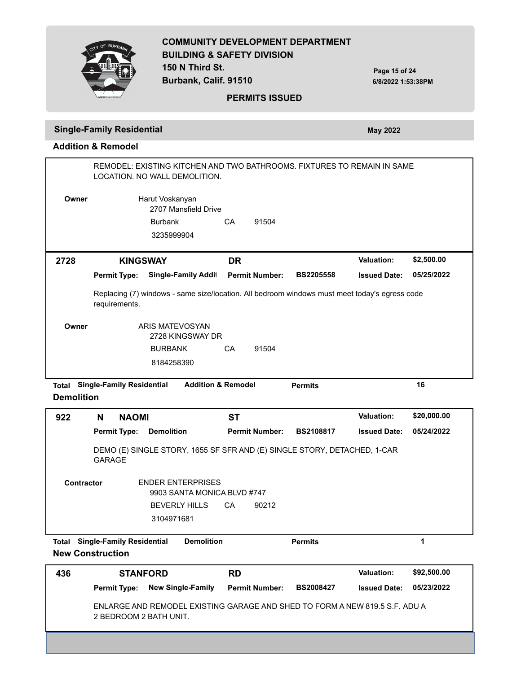

**Page 15 of 24 6/8/2022 1:53:38PM**

#### **PERMITS ISSUED**

# **Single-Family Residential** *May 2022* **May 2022**

**Addition & Remodel**

|       |                     | REMODEL: EXISTING KITCHEN AND TWO BATHROOMS. FIXTURES TO REMAIN IN SAME<br>LOCATION. NO WALL DEMOLITION. |           |                       |                  |                     |            |
|-------|---------------------|----------------------------------------------------------------------------------------------------------|-----------|-----------------------|------------------|---------------------|------------|
| Owner |                     | Harut Voskanyan<br>2707 Mansfield Drive                                                                  |           |                       |                  |                     |            |
|       |                     | <b>Burbank</b><br>3235999904                                                                             | CA        | 91504                 |                  |                     |            |
| 2728  | <b>KINGSWAY</b>     |                                                                                                          | <b>DR</b> |                       |                  | <b>Valuation:</b>   | \$2,500.00 |
|       | <b>Permit Type:</b> | <b>Single-Family Addit</b>                                                                               |           | <b>Permit Number:</b> | <b>BS2205558</b> | <b>Issued Date:</b> | 05/25/2022 |
|       |                     |                                                                                                          |           |                       |                  |                     |            |
|       | requirements.       | Replacing (7) windows - same size/location. All bedroom windows must meet today's egress code            |           |                       |                  |                     |            |
| Owner |                     | ARIS MATEVOSYAN<br>2728 KINGSWAY DR                                                                      |           |                       |                  |                     |            |
|       |                     | <b>BURBANK</b>                                                                                           | CA        | 91504                 |                  |                     |            |

**Demolition**

| 922                              | N                                                                                                                  | <b>NAOMI</b>                             | <b>ST</b>                                                                |                       |                  | <b>Valuation:</b>   | \$20,000.00 |
|----------------------------------|--------------------------------------------------------------------------------------------------------------------|------------------------------------------|--------------------------------------------------------------------------|-----------------------|------------------|---------------------|-------------|
|                                  |                                                                                                                    | <b>Demolition</b><br><b>Permit Type:</b> |                                                                          | <b>Permit Number:</b> | <b>BS2108817</b> | <b>Issued Date:</b> | 05/24/2022  |
|                                  | <b>GARAGE</b>                                                                                                      |                                          | DEMO (E) SINGLE STORY, 1655 SF SFR AND (E) SINGLE STORY, DETACHED, 1-CAR |                       |                  |                     |             |
|                                  | <b>ENDER ENTERPRISES</b><br><b>Contractor</b><br>9903 SANTA MONICA BLVD #747<br><b>BEVERLY HILLS</b><br>3104971681 |                                          | CA                                                                       | 90212                 |                  |                     |             |
| Total<br><b>New Construction</b> |                                                                                                                    | <b>Single-Family Residential</b>         | <b>Demolition</b>                                                        |                       | <b>Permits</b>   |                     | 1           |
|                                  |                                                                                                                    |                                          |                                                                          |                       |                  |                     |             |

| 436 | <b>STANFORD</b>                       |                                                                             | <b>RD</b>             |                  | <b>Valuation:</b>   | \$92,500.00 |  |
|-----|---------------------------------------|-----------------------------------------------------------------------------|-----------------------|------------------|---------------------|-------------|--|
|     | <b>Permit Type: New Single-Family</b> |                                                                             | <b>Permit Number:</b> | <b>BS2008427</b> | <b>Issued Date:</b> | 05/23/2022  |  |
|     | 2 BEDROOM 2 BATH UNIT.                | ENLARGE AND REMODEL EXISTING GARAGE AND SHED TO FORM A NEW 819.5 S.F. ADU A |                       |                  |                     |             |  |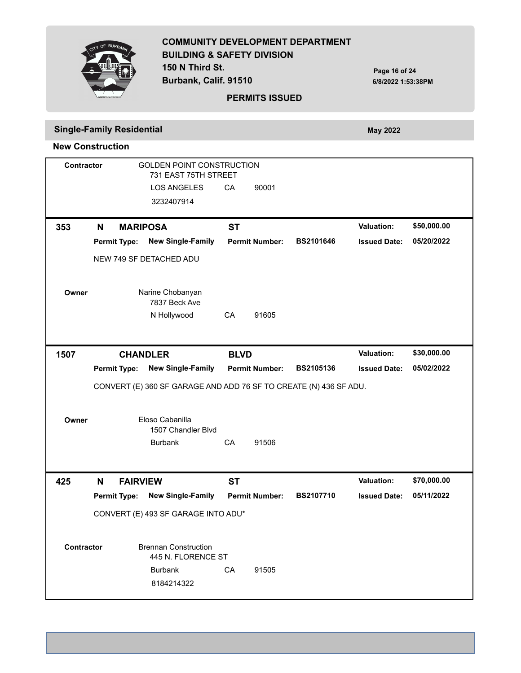

**Burbank, Calif. 91510**

**Page 16 of 24 6/8/2022 1:53:38PM**

#### **PERMITS ISSUED**

#### **Single-Family Residential** *May 2022* **May 2022**

**New Construction**

GOLDEN POINT CONSTRUCTION 3232407914 LOS ANGELES CA 90001 **Contractor** 731 EAST 75TH STREET **Permit Type: Permit Number: BS2101646 Issued Date: New Single-Family Dwelling 353 N 05/20/2022 MARIPOSA ST Valuation: \$50,000.00** NEW 749 SF DETACHED ADU Narine Chobanyan N Hollywood CA 91605 **Owner** 7837 Beck Ave **Permit Type: Permit Number: BS2105136 Issued Date: New Single-Family Dwelling 1507 05/02/2022 CHANDLER BLVD Valuation: \$30,000.00** CONVERT (E) 360 SF GARAGE AND ADD 76 SF TO CREATE (N) 436 SF ADU. Eloso Cabanilla Burbank CA 91506 **Owner** 1507 Chandler Blvd **Permit Type: Permit Number: BS2107710 Issued Date: New Single-Family Dwelling 425 N 05/11/2022 FAIRVIEW ST Valuation: \$70,000.00** CONVERT (E) 493 SF GARAGE INTO ADU\* Brennan Construction 8184214322 Burbank CA 91505 **Contractor** 445 N. FLORENCE ST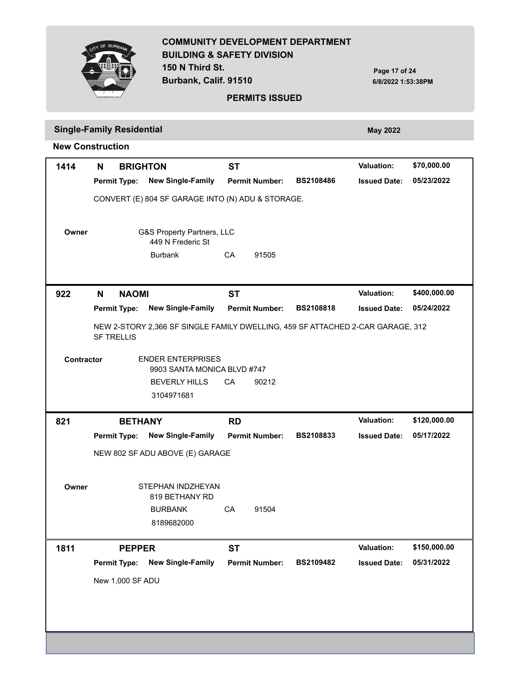

**Burbank, Calif. 91510**

**Page 17 of 24 6/8/2022 1:53:38PM**

#### **PERMITS ISSUED**

# **Single-Family Residential** *May 2022* **May 2022**

| 1414       | N<br><b>BRIGHTON</b> |                                                                                | <b>ST</b> |                       |                  | <b>Valuation:</b>   | \$70,000.00  |
|------------|----------------------|--------------------------------------------------------------------------------|-----------|-----------------------|------------------|---------------------|--------------|
|            | <b>Permit Type:</b>  | <b>New Single-Family</b>                                                       |           | <b>Permit Number:</b> | <b>BS2108486</b> | <b>Issued Date:</b> | 05/23/2022   |
|            |                      | CONVERT (E) 804 SF GARAGE INTO (N) ADU & STORAGE.                              |           |                       |                  |                     |              |
|            |                      |                                                                                |           |                       |                  |                     |              |
| Owner      |                      | G&S Property Partners, LLC                                                     |           |                       |                  |                     |              |
|            |                      | 449 N Frederic St                                                              |           |                       |                  |                     |              |
|            |                      | <b>Burbank</b>                                                                 | CA        | 91505                 |                  |                     |              |
|            |                      |                                                                                |           |                       |                  |                     |              |
| 922        | <b>NAOMI</b><br>N    |                                                                                | <b>ST</b> |                       |                  | <b>Valuation:</b>   | \$400,000.00 |
|            | <b>Permit Type:</b>  | <b>New Single-Family</b>                                                       |           | <b>Permit Number:</b> | <b>BS2108818</b> | <b>Issued Date:</b> | 05/24/2022   |
|            |                      | NEW 2-STORY 2,366 SF SINGLE FAMILY DWELLING, 459 SF ATTACHED 2-CAR GARAGE, 312 |           |                       |                  |                     |              |
|            | <b>SF TRELLIS</b>    |                                                                                |           |                       |                  |                     |              |
| Contractor |                      | <b>ENDER ENTERPRISES</b>                                                       |           |                       |                  |                     |              |
|            |                      | 9903 SANTA MONICA BLVD #747                                                    |           |                       |                  |                     |              |
|            |                      | <b>BEVERLY HILLS</b>                                                           | CA        | 90212                 |                  |                     |              |
|            |                      | 3104971681                                                                     |           |                       |                  |                     |              |
| 821        | <b>BETHANY</b>       |                                                                                | <b>RD</b> |                       |                  | <b>Valuation:</b>   | \$120,000.00 |
|            | <b>Permit Type:</b>  | <b>New Single-Family</b>                                                       |           | <b>Permit Number:</b> | BS2108833        | <b>Issued Date:</b> | 05/17/2022   |
|            |                      | NEW 802 SF ADU ABOVE (E) GARAGE                                                |           |                       |                  |                     |              |
|            |                      |                                                                                |           |                       |                  |                     |              |
| Owner      |                      | STEPHAN INDZHEYAN                                                              |           |                       |                  |                     |              |
|            |                      | 819 BETHANY RD                                                                 |           |                       |                  |                     |              |
|            |                      | <b>BURBANK</b>                                                                 | CA        | 91504                 |                  |                     |              |
|            |                      |                                                                                |           |                       |                  |                     |              |
|            |                      | 8189682000                                                                     |           |                       |                  |                     |              |
|            | <b>PEPPER</b>        |                                                                                | <b>ST</b> |                       |                  | <b>Valuation:</b>   | \$150,000.00 |
| 1811       | <b>Permit Type:</b>  | <b>New Single-Family</b>                                                       |           | <b>Permit Number:</b> | BS2109482        | <b>Issued Date:</b> | 05/31/2022   |
|            |                      |                                                                                |           |                       |                  |                     |              |
|            | New 1,000 SF ADU     |                                                                                |           |                       |                  |                     |              |
|            |                      |                                                                                |           |                       |                  |                     |              |
|            |                      |                                                                                |           |                       |                  |                     |              |
|            |                      |                                                                                |           |                       |                  |                     |              |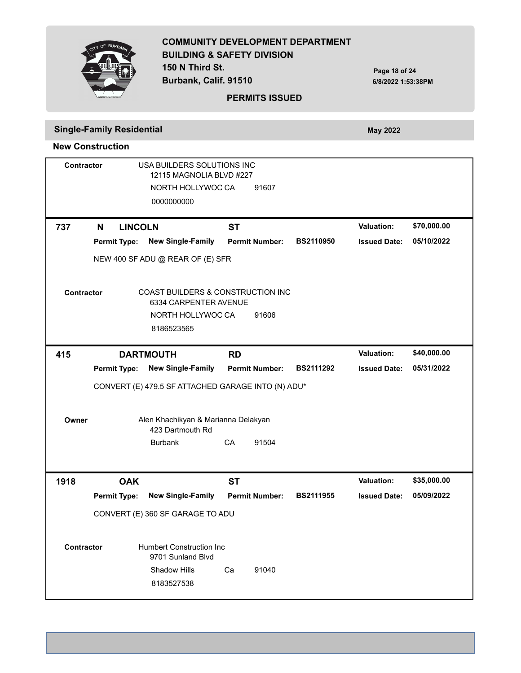

**Burbank, Calif. 91510**

**Page 18 of 24 6/8/2022 1:53:38PM**

#### **PERMITS ISSUED**

# **Single-Family Residential** *May 2022* **May 2022**

| <b>Contractor</b> | USA BUILDERS SOLUTIONS INC<br>12115 MAGNOLIA BLVD #227 |                     |                                                                       |           |                       |                  |                     |             |  |  |
|-------------------|--------------------------------------------------------|---------------------|-----------------------------------------------------------------------|-----------|-----------------------|------------------|---------------------|-------------|--|--|
|                   | NORTH HOLLYWOC CA<br>91607                             |                     |                                                                       |           |                       |                  |                     |             |  |  |
|                   |                                                        |                     | 0000000000                                                            |           |                       |                  |                     |             |  |  |
|                   |                                                        |                     |                                                                       |           |                       |                  |                     |             |  |  |
| 737               | N                                                      | <b>LINCOLN</b>      |                                                                       | <b>ST</b> |                       |                  | <b>Valuation:</b>   | \$70,000.00 |  |  |
|                   |                                                        | <b>Permit Type:</b> | <b>New Single-Family</b>                                              |           | <b>Permit Number:</b> | <b>BS2110950</b> | <b>Issued Date:</b> | 05/10/2022  |  |  |
|                   |                                                        |                     | NEW 400 SF ADU @ REAR OF (E) SFR                                      |           |                       |                  |                     |             |  |  |
| Contractor        |                                                        |                     | <b>COAST BUILDERS &amp; CONSTRUCTION INC</b><br>6334 CARPENTER AVENUE |           |                       |                  |                     |             |  |  |
|                   |                                                        |                     | NORTH HOLLYWOC CA                                                     |           | 91606                 |                  |                     |             |  |  |
|                   |                                                        |                     | 8186523565                                                            |           |                       |                  |                     |             |  |  |
| 415               |                                                        |                     | <b>DARTMOUTH</b>                                                      | <b>RD</b> |                       |                  | <b>Valuation:</b>   | \$40,000.00 |  |  |
|                   |                                                        | <b>Permit Type:</b> | <b>New Single-Family</b>                                              |           | <b>Permit Number:</b> | <b>BS2111292</b> | <b>Issued Date:</b> | 05/31/2022  |  |  |
|                   |                                                        |                     | CONVERT (E) 479.5 SF ATTACHED GARAGE INTO (N) ADU*                    |           |                       |                  |                     |             |  |  |
|                   |                                                        |                     |                                                                       |           |                       |                  |                     |             |  |  |
| Owner             |                                                        |                     | Alen Khachikyan & Marianna Delakyan<br>423 Dartmouth Rd               |           |                       |                  |                     |             |  |  |
|                   |                                                        |                     | <b>Burbank</b>                                                        | CA        | 91504                 |                  |                     |             |  |  |
|                   |                                                        |                     |                                                                       |           |                       |                  |                     |             |  |  |
| 1918              |                                                        | <b>OAK</b>          |                                                                       | <b>ST</b> |                       |                  | <b>Valuation:</b>   | \$35,000.00 |  |  |
|                   |                                                        | <b>Permit Type:</b> | <b>New Single-Family</b>                                              |           | <b>Permit Number:</b> | <b>BS2111955</b> | <b>Issued Date:</b> | 05/09/2022  |  |  |
|                   |                                                        |                     | CONVERT (E) 360 SF GARAGE TO ADU                                      |           |                       |                  |                     |             |  |  |
|                   |                                                        |                     |                                                                       |           |                       |                  |                     |             |  |  |
| <b>Contractor</b> |                                                        |                     | <b>Humbert Construction Inc</b><br>9701 Sunland Blvd                  |           |                       |                  |                     |             |  |  |
|                   |                                                        |                     | <b>Shadow Hills</b>                                                   | Ca        | 91040                 |                  |                     |             |  |  |
|                   |                                                        |                     | 8183527538                                                            |           |                       |                  |                     |             |  |  |
|                   |                                                        |                     |                                                                       |           |                       |                  |                     |             |  |  |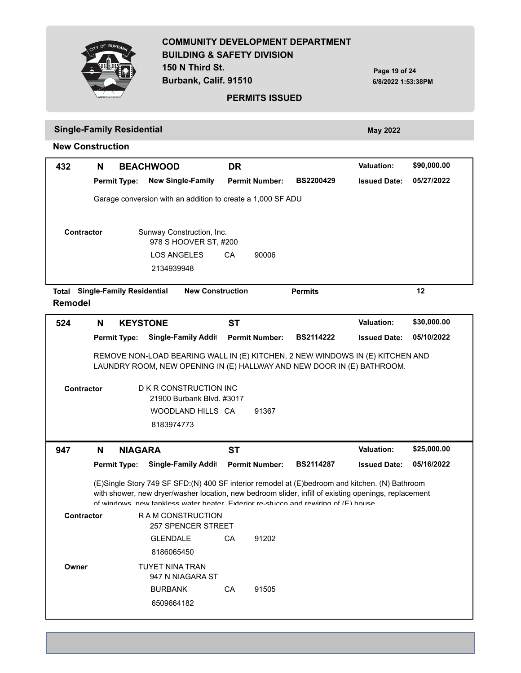**150 N Third St. Burbank, Calif. 91510**



**Page 19 of 24 6/8/2022 1:53:38PM**

#### **PERMITS ISSUED**

# **Single-Family Residential** *May 2022* **May 2022**

| 432                     | N |                                  | <b>BEACHWOOD</b>                                                                                                                                                                                                                                                                            | <b>DR</b>               |                       |                  | <b>Valuation:</b>   | \$90,000.00 |
|-------------------------|---|----------------------------------|---------------------------------------------------------------------------------------------------------------------------------------------------------------------------------------------------------------------------------------------------------------------------------------------|-------------------------|-----------------------|------------------|---------------------|-------------|
|                         |   | <b>Permit Type:</b>              | <b>New Single-Family</b>                                                                                                                                                                                                                                                                    |                         | <b>Permit Number:</b> | <b>BS2200429</b> | <b>Issued Date:</b> | 05/27/2022  |
|                         |   |                                  | Garage conversion with an addition to create a 1,000 SF ADU                                                                                                                                                                                                                                 |                         |                       |                  |                     |             |
|                         |   |                                  |                                                                                                                                                                                                                                                                                             |                         |                       |                  |                     |             |
| <b>Contractor</b>       |   |                                  | Sunway Construction, Inc.<br>978 S HOOVER ST, #200                                                                                                                                                                                                                                          |                         |                       |                  |                     |             |
|                         |   |                                  | <b>LOS ANGELES</b>                                                                                                                                                                                                                                                                          | CA                      | 90006                 |                  |                     |             |
|                         |   |                                  | 2134939948                                                                                                                                                                                                                                                                                  |                         |                       |                  |                     |             |
| <b>Total</b><br>Remodel |   | <b>Single-Family Residential</b> |                                                                                                                                                                                                                                                                                             | <b>New Construction</b> |                       | <b>Permits</b>   |                     | 12          |
| 524                     | N | <b>KEYSTONE</b>                  |                                                                                                                                                                                                                                                                                             | <b>ST</b>               |                       |                  | <b>Valuation:</b>   | \$30,000.00 |
|                         |   | <b>Permit Type:</b>              | <b>Single-Family Addit</b>                                                                                                                                                                                                                                                                  |                         | <b>Permit Number:</b> | <b>BS2114222</b> | <b>Issued Date:</b> | 05/10/2022  |
|                         |   |                                  | REMOVE NON-LOAD BEARING WALL IN (E) KITCHEN, 2 NEW WINDOWS IN (E) KITCHEN AND                                                                                                                                                                                                               |                         |                       |                  |                     |             |
|                         |   |                                  | LAUNDRY ROOM, NEW OPENING IN (E) HALLWAY AND NEW DOOR IN (E) BATHROOM.                                                                                                                                                                                                                      |                         |                       |                  |                     |             |
|                         |   |                                  |                                                                                                                                                                                                                                                                                             |                         |                       |                  |                     |             |
| Contractor              |   |                                  | D K R CONSTRUCTION INC<br>21900 Burbank Blvd. #3017                                                                                                                                                                                                                                         |                         |                       |                  |                     |             |
|                         |   |                                  | WOODLAND HILLS CA                                                                                                                                                                                                                                                                           |                         | 91367                 |                  |                     |             |
|                         |   |                                  | 8183974773                                                                                                                                                                                                                                                                                  |                         |                       |                  |                     |             |
| 947                     | N | <b>NIAGARA</b>                   |                                                                                                                                                                                                                                                                                             | <b>ST</b>               |                       |                  | <b>Valuation:</b>   | \$25,000.00 |
|                         |   | <b>Permit Type:</b>              | <b>Single-Family Addit</b>                                                                                                                                                                                                                                                                  |                         | <b>Permit Number:</b> | <b>BS2114287</b> | <b>Issued Date:</b> | 05/16/2022  |
|                         |   |                                  |                                                                                                                                                                                                                                                                                             |                         |                       |                  |                     |             |
|                         |   |                                  | (E)Single Story 749 SF SFD:(N) 400 SF interior remodel at (E)bedroom and kitchen. (N) Bathroom<br>with shower, new dryer/washer location, new bedroom slider, infill of existing openings, replacement<br>of windows now tankless water heater Exterior re-stucco and rewiring of (E) house |                         |                       |                  |                     |             |
| <b>Contractor</b>       |   |                                  | R A M CONSTRUCTION<br><b>257 SPENCER STREET</b>                                                                                                                                                                                                                                             |                         |                       |                  |                     |             |
|                         |   |                                  | GLENDALE CA                                                                                                                                                                                                                                                                                 |                         | 91202                 |                  |                     |             |
|                         |   |                                  | 8186065450                                                                                                                                                                                                                                                                                  |                         |                       |                  |                     |             |
| Owner                   |   |                                  | TUYET NINA TRAN<br>947 N NIAGARA ST                                                                                                                                                                                                                                                         |                         |                       |                  |                     |             |
|                         |   |                                  | <b>BURBANK</b>                                                                                                                                                                                                                                                                              | CA                      | 91505                 |                  |                     |             |
|                         |   |                                  | 6509664182                                                                                                                                                                                                                                                                                  |                         |                       |                  |                     |             |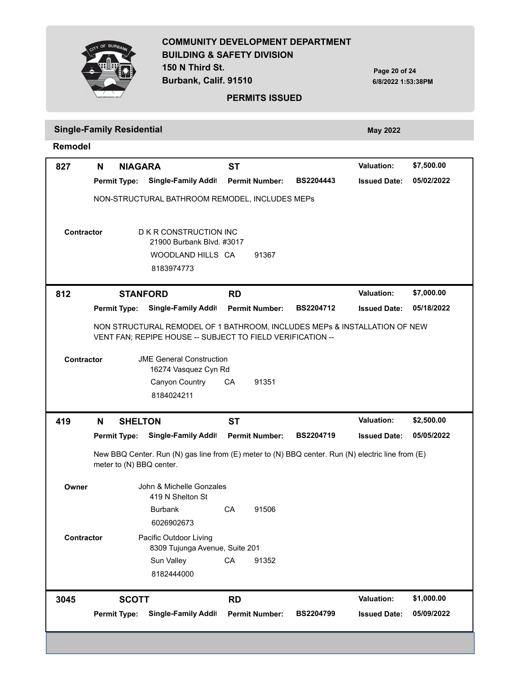**150 N Third St.**

**Burbank, Calif. 91510**

**BIID** 

**Page 20 of 24 6/8/2022 1:53:38PM**

**05/02/2022**

**Valuation: \$7,500.00**

#### **PERMITS ISSUED**

# **Single-Family Residential** *May 2022* **May 2022**

**Permit Type: Permit Number: BS2204443 Issued Date: Single-Family Addition / Alteration 827 N NIAGARA ST** NON-STRUCTURAL BATHROOM REMODEL, INCLUDES MEPs

**Remodel**

| <b>Contractor</b> |   |                     | D K R CONSTRUCTION INC<br>21900 Burbank Blvd. #3017<br>WOODLAND HILLS CA<br>8183974773                                                  |           | 91367                 |                  |                     |            |
|-------------------|---|---------------------|-----------------------------------------------------------------------------------------------------------------------------------------|-----------|-----------------------|------------------|---------------------|------------|
| 812               |   |                     | <b>STANFORD</b>                                                                                                                         | <b>RD</b> |                       |                  | <b>Valuation:</b>   | \$7,000.00 |
|                   |   | <b>Permit Type:</b> | Single-Family Addit                                                                                                                     |           | <b>Permit Number:</b> | <b>BS2204712</b> | <b>Issued Date:</b> | 05/18/2022 |
|                   |   |                     | NON STRUCTURAL REMODEL OF 1 BATHROOM, INCLUDES MEPs & INSTALLATION OF NEW<br>VENT FAN; REPIPE HOUSE -- SUBJECT TO FIELD VERIFICATION -- |           |                       |                  |                     |            |
| Contractor        |   |                     | <b>JME General Construction</b><br>16274 Vasquez Cyn Rd                                                                                 |           |                       |                  |                     |            |
|                   |   |                     | Canyon Country<br>8184024211                                                                                                            | CA        | 91351                 |                  |                     |            |
| 419               | N | <b>SHELTON</b>      |                                                                                                                                         | ST        |                       |                  | <b>Valuation:</b>   | \$2,500.00 |
|                   |   | <b>Permit Type:</b> | Single-Family Addit                                                                                                                     |           | <b>Permit Number:</b> | <b>BS2204719</b> | <b>Issued Date:</b> | 05/05/2022 |
|                   |   |                     | New BBQ Center. Run (N) gas line from (E) meter to (N) BBQ center. Run (N) electric line from (E)<br>meter to (N) BBQ center.           |           |                       |                  |                     |            |
| Owner             |   |                     | John & Michelle Gonzales<br>419 N Shelton St                                                                                            |           |                       |                  |                     |            |
|                   |   |                     | <b>Burbank</b>                                                                                                                          | CA        | 91506                 |                  |                     |            |
|                   |   |                     | 6026902673                                                                                                                              |           |                       |                  |                     |            |
| Contractor        |   |                     | Pacific Outdoor Living<br>8309 Tujunga Avenue, Suite 201                                                                                |           |                       |                  |                     |            |
|                   |   |                     | Sun Valley                                                                                                                              | CA        | 91352                 |                  |                     |            |
|                   |   |                     | 8182444000                                                                                                                              |           |                       |                  |                     |            |
| 3045              |   | <b>SCOTT</b>        |                                                                                                                                         | <b>RD</b> |                       |                  | <b>Valuation:</b>   | \$1,000.00 |
|                   |   | <b>Permit Type:</b> | <b>Single-Family Addit</b>                                                                                                              |           | <b>Permit Number:</b> | <b>BS2204799</b> | <b>Issued Date:</b> | 05/09/2022 |
|                   |   |                     |                                                                                                                                         |           |                       |                  |                     |            |
|                   |   |                     |                                                                                                                                         |           |                       |                  |                     |            |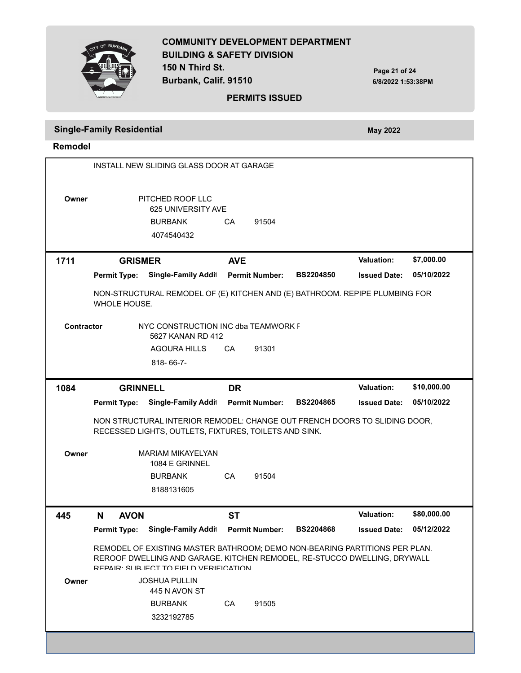

**Burbank, Calif. 91510**

**Page 21 of 24 6/8/2022 1:53:38PM**

#### **PERMITS ISSUED**

# **Single-Family Residential** *May 2022* **May 2022**

**Remodel**

|                   |                     | INSTALL NEW SLIDING GLASS DOOR AT GARAGE                                                                                                                                                         |            |                       |                  |                     |             |
|-------------------|---------------------|--------------------------------------------------------------------------------------------------------------------------------------------------------------------------------------------------|------------|-----------------------|------------------|---------------------|-------------|
| Owner             |                     | PITCHED ROOF LLC<br>625 UNIVERSITY AVE<br><b>BURBANK</b><br>4074540432                                                                                                                           | CA         | 91504                 |                  |                     |             |
| 1711              | <b>GRISMER</b>      |                                                                                                                                                                                                  | <b>AVE</b> |                       |                  | <b>Valuation:</b>   | \$7,000.00  |
|                   | <b>Permit Type:</b> | <b>Single-Family Addit</b>                                                                                                                                                                       |            | <b>Permit Number:</b> | <b>BS2204850</b> | <b>Issued Date:</b> | 05/10/2022  |
|                   | WHOLE HOUSE.        | NON-STRUCTURAL REMODEL OF (E) KITCHEN AND (E) BATHROOM. REPIPE PLUMBING FOR                                                                                                                      |            |                       |                  |                     |             |
| <b>Contractor</b> |                     | NYC CONSTRUCTION INC dba TEAMWORK F<br>5627 KANAN RD 412                                                                                                                                         |            |                       |                  |                     |             |
|                   |                     | <b>AGOURA HILLS</b>                                                                                                                                                                              | CA         | 91301                 |                  |                     |             |
|                   |                     | 818-66-7-                                                                                                                                                                                        |            |                       |                  |                     |             |
| 1084              | <b>GRINNELL</b>     |                                                                                                                                                                                                  | <b>DR</b>  |                       |                  | Valuation:          | \$10,000.00 |
|                   | <b>Permit Type:</b> | <b>Single-Family Addit</b>                                                                                                                                                                       |            | <b>Permit Number:</b> | <b>BS2204865</b> | <b>Issued Date:</b> | 05/10/2022  |
|                   |                     | NON STRUCTURAL INTERIOR REMODEL: CHANGE OUT FRENCH DOORS TO SLIDING DOOR,<br>RECESSED LIGHTS, OUTLETS, FIXTURES, TOILETS AND SINK.                                                               |            |                       |                  |                     |             |
| Owner             |                     | <b>MARIAM MIKAYELYAN</b><br>1084 E GRINNEL<br><b>BURBANK</b><br>8188131605                                                                                                                       | CA         | 91504                 |                  |                     |             |
| 445               | <b>AVON</b><br>N    |                                                                                                                                                                                                  | <b>ST</b>  |                       |                  | <b>Valuation:</b>   | \$80,000.00 |
|                   | <b>Permit Type:</b> | <b>Single-Family Addit</b>                                                                                                                                                                       |            | <b>Permit Number:</b> | <b>BS2204868</b> | <b>Issued Date:</b> | 05/12/2022  |
|                   |                     | REMODEL OF EXISTING MASTER BATHROOM; DEMO NON-BEARING PARTITIONS PER PLAN.<br>REROOF DWELLING AND GARAGE. KITCHEN REMODEL, RE-STUCCO DWELLING, DRYWALL<br>REPAIR SHR IFAT TO FIFI DIVERIFICATION |            |                       |                  |                     |             |
| Owner             |                     | <b>JOSHUA PULLIN</b><br>445 N AVON ST                                                                                                                                                            |            |                       |                  |                     |             |
|                   |                     | <b>BURBANK</b><br>3232192785                                                                                                                                                                     | CA         | 91505                 |                  |                     |             |
|                   |                     |                                                                                                                                                                                                  |            |                       |                  |                     |             |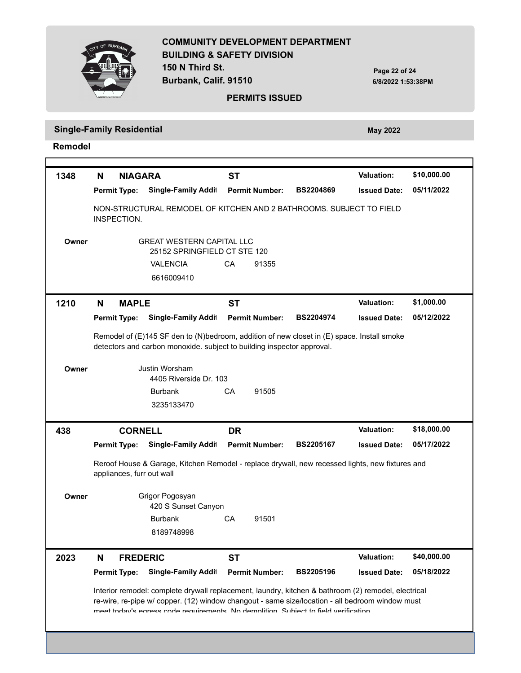

**150 N Third St. Burbank, Calif. 91510**

**Page 22 of 24 6/8/2022 1:53:38PM**

#### **PERMITS ISSUED**

**Single-Family Residential** *May 2022* **May 2022** 

**Remodel**

r

| 1348  | <b>NIAGARA</b><br>N       |                                                                                                                                                                                                                                                                                               | <b>ST</b> |                       |                  | <b>Valuation:</b>   | \$10,000.00 |
|-------|---------------------------|-----------------------------------------------------------------------------------------------------------------------------------------------------------------------------------------------------------------------------------------------------------------------------------------------|-----------|-----------------------|------------------|---------------------|-------------|
|       | <b>Permit Type:</b>       | <b>Single-Family Addit</b>                                                                                                                                                                                                                                                                    |           | <b>Permit Number:</b> | <b>BS2204869</b> | <b>Issued Date:</b> | 05/11/2022  |
|       | INSPECTION.               | NON-STRUCTURAL REMODEL OF KITCHEN AND 2 BATHROOMS. SUBJECT TO FIELD                                                                                                                                                                                                                           |           |                       |                  |                     |             |
| Owner |                           | <b>GREAT WESTERN CAPITAL LLC</b><br>25152 SPRINGFIELD CT STE 120                                                                                                                                                                                                                              |           |                       |                  |                     |             |
|       |                           | <b>VALENCIA</b>                                                                                                                                                                                                                                                                               | CA        | 91355                 |                  |                     |             |
|       |                           | 6616009410                                                                                                                                                                                                                                                                                    |           |                       |                  |                     |             |
| 1210  | <b>MAPLE</b><br>N         |                                                                                                                                                                                                                                                                                               | <b>ST</b> |                       |                  | Valuation:          | \$1,000.00  |
|       | <b>Permit Type:</b>       | Single-Family Addit                                                                                                                                                                                                                                                                           |           | <b>Permit Number:</b> | <b>BS2204974</b> | <b>Issued Date:</b> | 05/12/2022  |
|       |                           | Remodel of (E)145 SF den to (N)bedroom, addition of new closet in (E) space. Install smoke<br>detectors and carbon monoxide. subject to building inspector approval.                                                                                                                          |           |                       |                  |                     |             |
| Owner |                           | Justin Worsham<br>4405 Riverside Dr. 103                                                                                                                                                                                                                                                      |           |                       |                  |                     |             |
|       |                           | <b>Burbank</b>                                                                                                                                                                                                                                                                                | CА        | 91505                 |                  |                     |             |
|       |                           | 3235133470                                                                                                                                                                                                                                                                                    |           |                       |                  |                     |             |
| 438   | <b>CORNELL</b>            |                                                                                                                                                                                                                                                                                               | <b>DR</b> |                       |                  | Valuation:          | \$18,000.00 |
|       |                           | Single-Family Addit                                                                                                                                                                                                                                                                           |           | <b>Permit Number:</b> | <b>BS2205167</b> | <b>Issued Date:</b> | 05/17/2022  |
|       | <b>Permit Type:</b>       |                                                                                                                                                                                                                                                                                               |           |                       |                  |                     |             |
|       | appliances, furr out wall | Reroof House & Garage, Kitchen Remodel - replace drywall, new recessed lights, new fixtures and                                                                                                                                                                                               |           |                       |                  |                     |             |
| Owner |                           | Grigor Pogosyan<br>420 S Sunset Canyon                                                                                                                                                                                                                                                        |           |                       |                  |                     |             |
|       |                           | <b>Burbank</b>                                                                                                                                                                                                                                                                                | CA        | 91501                 |                  |                     |             |
|       |                           | 8189748998                                                                                                                                                                                                                                                                                    |           |                       |                  |                     |             |
| 2023  | <b>FREDERIC</b><br>N      |                                                                                                                                                                                                                                                                                               | ST        |                       |                  | <b>Valuation:</b>   | \$40,000.00 |
|       | <b>Permit Type:</b>       | <b>Single-Family Addit</b>                                                                                                                                                                                                                                                                    |           | <b>Permit Number:</b> | <b>BS2205196</b> | <b>Issued Date:</b> | 05/18/2022  |
|       |                           | Interior remodel: complete drywall replacement, laundry, kitchen & bathroom (2) remodel, electrical<br>re-wire, re-pipe w/ copper. (12) window changout - same size/location - all bedroom window must<br>meet today's enress code requirements. No demolition. Subject to field verification |           |                       |                  |                     |             |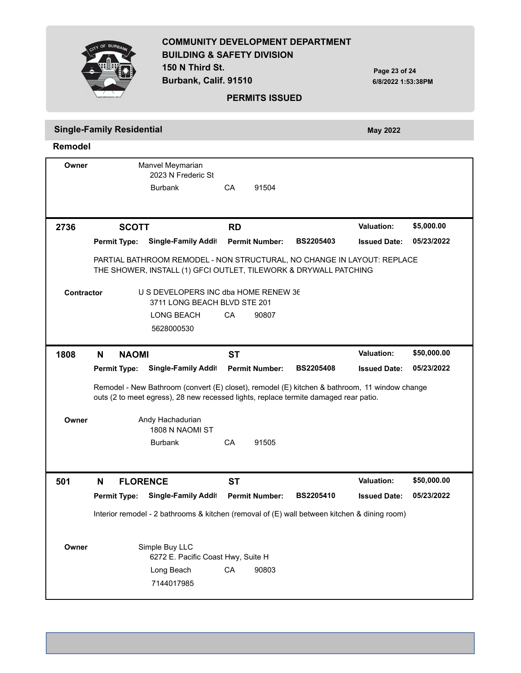|                   | OF BURBA                         | <b>BUILDING &amp; SAFETY DIVISION</b><br>150 N Third St.<br>Burbank, Calif. 91510                                                                                                                            |           | <b>PERMITS ISSUED</b> | <b>COMMUNITY DEVELOPMENT DEPARTMENT</b> | Page 23 of 24<br>6/8/2022 1:53:38PM |             |
|-------------------|----------------------------------|--------------------------------------------------------------------------------------------------------------------------------------------------------------------------------------------------------------|-----------|-----------------------|-----------------------------------------|-------------------------------------|-------------|
|                   | <b>Single-Family Residential</b> |                                                                                                                                                                                                              |           |                       |                                         | <b>May 2022</b>                     |             |
| <b>Remodel</b>    |                                  |                                                                                                                                                                                                              |           |                       |                                         |                                     |             |
| Owner             |                                  | Manvel Meymarian<br>2023 N Frederic St<br><b>Burbank</b>                                                                                                                                                     | CA        | 91504                 |                                         |                                     |             |
| 2736              | <b>SCOTT</b>                     |                                                                                                                                                                                                              | <b>RD</b> |                       |                                         | <b>Valuation:</b>                   | \$5,000.00  |
|                   | <b>Permit Type:</b>              | Single-Family Addit                                                                                                                                                                                          |           | <b>Permit Number:</b> | <b>BS2205403</b>                        | <b>Issued Date:</b>                 | 05/23/2022  |
| <b>Contractor</b> |                                  | THE SHOWER, INSTALL (1) GFCI OUTLET, TILEWORK & DRYWALL PATCHING<br>U S DEVELOPERS INC dba HOME RENEW 36<br>3711 LONG BEACH BLVD STE 201<br>LONG BEACH<br>5628000530                                         | CA        | 90807                 |                                         |                                     |             |
| 1808              | N<br><b>NAOMI</b>                |                                                                                                                                                                                                              | <b>ST</b> |                       |                                         | <b>Valuation:</b>                   | \$50,000.00 |
|                   | <b>Permit Type:</b>              | Single-Family Addit<br>Remodel - New Bathroom (convert (E) closet), remodel (E) kitchen & bathroom, 11 window change<br>outs (2 to meet egress), 28 new recessed lights, replace termite damaged rear patio. |           | <b>Permit Number:</b> | <b>BS2205408</b>                        | <b>Issued Date:</b>                 | 05/23/2022  |
| Owner             |                                  | Andy Hachadurian<br>1808 N NAOMI ST<br><b>Burbank</b>                                                                                                                                                        | CA        | 91505                 |                                         |                                     |             |
| 501               | N<br><b>FLORENCE</b>             |                                                                                                                                                                                                              | <b>ST</b> |                       |                                         | Valuation:                          | \$50,000.00 |
|                   | <b>Permit Type:</b>              | <b>Single-Family Addit</b>                                                                                                                                                                                   |           | <b>Permit Number:</b> | BS2205410                               | <b>Issued Date:</b>                 | 05/23/2022  |
|                   |                                  | Interior remodel - 2 bathrooms & kitchen (removal of (E) wall between kitchen & dining room)                                                                                                                 |           |                       |                                         |                                     |             |
| Owner             |                                  | Simple Buy LLC<br>6272 E. Pacific Coast Hwy, Suite H                                                                                                                                                         |           |                       |                                         |                                     |             |
|                   |                                  | Long Beach<br>7144017985                                                                                                                                                                                     | CA        | 90803                 |                                         |                                     |             |